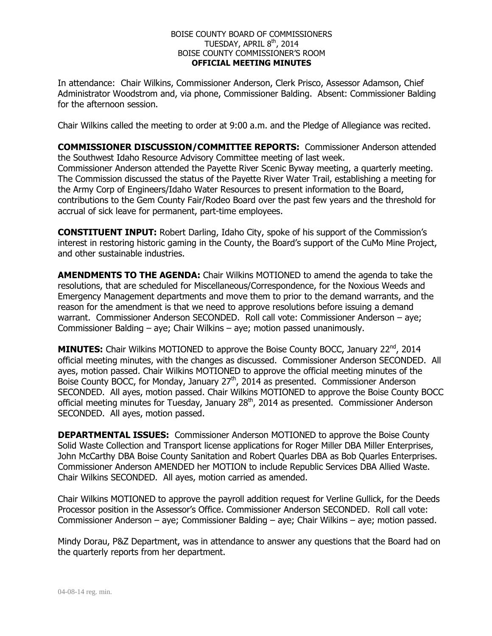## BOISE COUNTY BOARD OF COMMISSIONERS TUESDAY, APRIL 8<sup>th</sup>, 2014 BOISE COUNTY COMMISSIONER'S ROOM **OFFICIAL MEETING MINUTES**

In attendance: Chair Wilkins, Commissioner Anderson, Clerk Prisco, Assessor Adamson, Chief Administrator Woodstrom and, via phone, Commissioner Balding. Absent: Commissioner Balding for the afternoon session.

Chair Wilkins called the meeting to order at 9:00 a.m. and the Pledge of Allegiance was recited.

**COMMISSIONER DISCUSSION/COMMITTEE REPORTS:** Commissioner Anderson attended the Southwest Idaho Resource Advisory Committee meeting of last week. Commissioner Anderson attended the Payette River Scenic Byway meeting, a quarterly meeting. The Commission discussed the status of the Payette River Water Trail, establishing a meeting for the Army Corp of Engineers/Idaho Water Resources to present information to the Board, contributions to the Gem County Fair/Rodeo Board over the past few years and the threshold for accrual of sick leave for permanent, part-time employees.

**CONSTITUENT INPUT:** Robert Darling, Idaho City, spoke of his support of the Commission's interest in restoring historic gaming in the County, the Board's support of the CuMo Mine Project, and other sustainable industries.

**AMENDMENTS TO THE AGENDA:** Chair Wilkins MOTIONED to amend the agenda to take the resolutions, that are scheduled for Miscellaneous/Correspondence, for the Noxious Weeds and Emergency Management departments and move them to prior to the demand warrants, and the reason for the amendment is that we need to approve resolutions before issuing a demand warrant. Commissioner Anderson SECONDED. Roll call vote: Commissioner Anderson – aye; Commissioner Balding – aye; Chair Wilkins – aye; motion passed unanimously.

**MINUTES:** Chair Wilkins MOTIONED to approve the Boise County BOCC, January 22<sup>nd</sup>, 2014 official meeting minutes, with the changes as discussed. Commissioner Anderson SECONDED. All ayes, motion passed. Chair Wilkins MOTIONED to approve the official meeting minutes of the Boise County BOCC, for Monday, January  $27<sup>th</sup>$ , 2014 as presented. Commissioner Anderson SECONDED. All ayes, motion passed. Chair Wilkins MOTIONED to approve the Boise County BOCC official meeting minutes for Tuesday, January 28<sup>th</sup>, 2014 as presented. Commissioner Anderson SECONDED. All ayes, motion passed.

**DEPARTMENTAL ISSUES:** Commissioner Anderson MOTIONED to approve the Boise County Solid Waste Collection and Transport license applications for Roger Miller DBA Miller Enterprises, John McCarthy DBA Boise County Sanitation and Robert Quarles DBA as Bob Quarles Enterprises. Commissioner Anderson AMENDED her MOTION to include Republic Services DBA Allied Waste. Chair Wilkins SECONDED. All ayes, motion carried as amended.

Chair Wilkins MOTIONED to approve the payroll addition request for Verline Gullick, for the Deeds Processor position in the Assessor's Office. Commissioner Anderson SECONDED. Roll call vote: Commissioner Anderson – aye; Commissioner Balding – aye; Chair Wilkins – aye; motion passed.

Mindy Dorau, P&Z Department, was in attendance to answer any questions that the Board had on the quarterly reports from her department.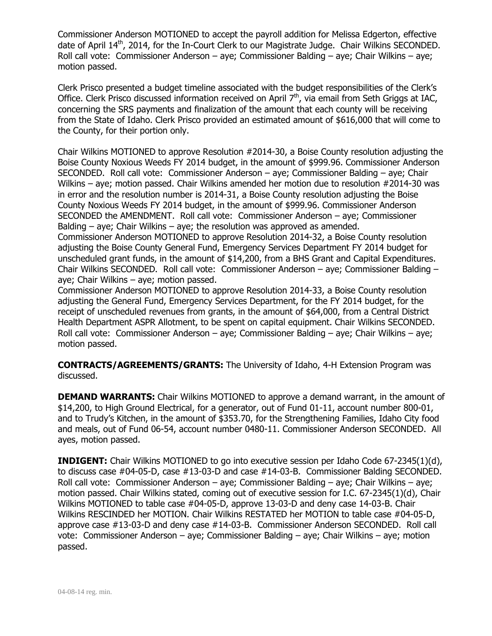Commissioner Anderson MOTIONED to accept the payroll addition for Melissa Edgerton, effective date of April 14<sup>th</sup>, 2014, for the In-Court Clerk to our Magistrate Judge. Chair Wilkins SECONDED. Roll call vote: Commissioner Anderson – aye; Commissioner Balding – aye; Chair Wilkins – aye; motion passed.

Clerk Prisco presented a budget timeline associated with the budget responsibilities of the Clerk's Office. Clerk Prisco discussed information received on April 7<sup>th</sup>, via email from Seth Griggs at IAC, concerning the SRS payments and finalization of the amount that each county will be receiving from the State of Idaho. Clerk Prisco provided an estimated amount of \$616,000 that will come to the County, for their portion only.

Chair Wilkins MOTIONED to approve Resolution #2014-30, a Boise County resolution adjusting the Boise County Noxious Weeds FY 2014 budget, in the amount of \$999.96. Commissioner Anderson SECONDED. Roll call vote: Commissioner Anderson – aye; Commissioner Balding – aye; Chair Wilkins – aye; motion passed. Chair Wilkins amended her motion due to resolution #2014-30 was in error and the resolution number is 2014-31, a Boise County resolution adjusting the Boise County Noxious Weeds FY 2014 budget, in the amount of \$999.96. Commissioner Anderson SECONDED the AMENDMENT. Roll call vote: Commissioner Anderson – aye; Commissioner Balding – aye; Chair Wilkins – aye; the resolution was approved as amended.

Commissioner Anderson MOTIONED to approve Resolution 2014-32, a Boise County resolution adjusting the Boise County General Fund, Emergency Services Department FY 2014 budget for unscheduled grant funds, in the amount of \$14,200, from a BHS Grant and Capital Expenditures. Chair Wilkins SECONDED. Roll call vote: Commissioner Anderson – aye; Commissioner Balding – aye; Chair Wilkins – aye; motion passed.

Commissioner Anderson MOTIONED to approve Resolution 2014-33, a Boise County resolution adjusting the General Fund, Emergency Services Department, for the FY 2014 budget, for the receipt of unscheduled revenues from grants, in the amount of \$64,000, from a Central District Health Department ASPR Allotment, to be spent on capital equipment. Chair Wilkins SECONDED. Roll call vote: Commissioner Anderson – aye; Commissioner Balding – aye; Chair Wilkins – aye; motion passed.

**CONTRACTS/AGREEMENTS/GRANTS:** The University of Idaho, 4-H Extension Program was discussed.

**DEMAND WARRANTS:** Chair Wilkins MOTIONED to approve a demand warrant, in the amount of \$14,200, to High Ground Electrical, for a generator, out of Fund 01-11, account number 800-01, and to Trudy's Kitchen, in the amount of \$353.70, for the Strengthening Families, Idaho City food and meals, out of Fund 06-54, account number 0480-11. Commissioner Anderson SECONDED. All ayes, motion passed.

**INDIGENT:** Chair Wilkins MOTIONED to go into executive session per Idaho Code 67-2345(1)(d), to discuss case #04-05-D, case #13-03-D and case #14-03-B. Commissioner Balding SECONDED. Roll call vote: Commissioner Anderson – aye; Commissioner Balding – aye; Chair Wilkins – aye; motion passed. Chair Wilkins stated, coming out of executive session for I.C. 67-2345(1)(d), Chair Wilkins MOTIONED to table case #04-05-D, approve 13-03-D and deny case 14-03-B. Chair Wilkins RESCINDED her MOTION. Chair Wilkins RESTATED her MOTION to table case #04-05-D, approve case #13-03-D and deny case #14-03-B. Commissioner Anderson SECONDED. Roll call vote: Commissioner Anderson – aye; Commissioner Balding – aye; Chair Wilkins – aye; motion passed.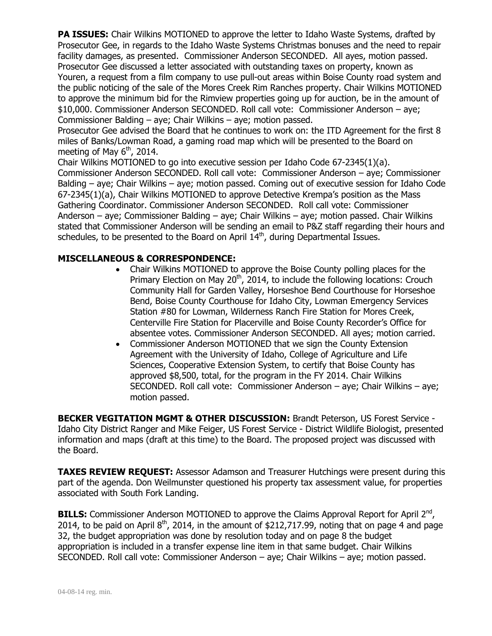**PA ISSUES:** Chair Wilkins MOTIONED to approve the letter to Idaho Waste Systems, drafted by Prosecutor Gee, in regards to the Idaho Waste Systems Christmas bonuses and the need to repair facility damages, as presented. Commissioner Anderson SECONDED. All ayes, motion passed. Prosecutor Gee discussed a letter associated with outstanding taxes on property, known as Youren, a request from a film company to use pull-out areas within Boise County road system and the public noticing of the sale of the Mores Creek Rim Ranches property. Chair Wilkins MOTIONED to approve the minimum bid for the Rimview properties going up for auction, be in the amount of \$10,000. Commissioner Anderson SECONDED. Roll call vote: Commissioner Anderson – aye; Commissioner Balding – aye; Chair Wilkins – aye; motion passed.

Prosecutor Gee advised the Board that he continues to work on: the ITD Agreement for the first 8 miles of Banks/Lowman Road, a gaming road map which will be presented to the Board on meeting of May  $6<sup>th</sup>$ , 2014.

Chair Wilkins MOTIONED to go into executive session per Idaho Code 67-2345(1)(a). Commissioner Anderson SECONDED. Roll call vote: Commissioner Anderson – aye; Commissioner Balding – aye; Chair Wilkins – aye; motion passed. Coming out of executive session for Idaho Code 67-2345(1)(a), Chair Wilkins MOTIONED to approve Detective Krempa's position as the Mass Gathering Coordinator. Commissioner Anderson SECONDED. Roll call vote: Commissioner Anderson – aye; Commissioner Balding – aye; Chair Wilkins – aye; motion passed. Chair Wilkins stated that Commissioner Anderson will be sending an email to P&Z staff regarding their hours and schedules, to be presented to the Board on April 14<sup>th</sup>, during Departmental Issues.

## **MISCELLANEOUS & CORRESPONDENCE:**

- Chair Wilkins MOTIONED to approve the Boise County polling places for the Primary Election on May  $20<sup>th</sup>$ , 2014, to include the following locations: Crouch Community Hall for Garden Valley, Horseshoe Bend Courthouse for Horseshoe Bend, Boise County Courthouse for Idaho City, Lowman Emergency Services Station #80 for Lowman, Wilderness Ranch Fire Station for Mores Creek, Centerville Fire Station for Placerville and Boise County Recorder's Office for absentee votes. Commissioner Anderson SECONDED. All ayes; motion carried.
- Commissioner Anderson MOTIONED that we sign the County Extension Agreement with the University of Idaho, College of Agriculture and Life Sciences, Cooperative Extension System, to certify that Boise County has approved \$8,500, total, for the program in the FY 2014. Chair Wilkins SECONDED. Roll call vote: Commissioner Anderson – aye; Chair Wilkins – aye; motion passed.

**BECKER VEGITATION MGMT & OTHER DISCUSSION:** Brandt Peterson, US Forest Service - Idaho City District Ranger and Mike Feiger, US Forest Service - District Wildlife Biologist, presented information and maps (draft at this time) to the Board. The proposed project was discussed with the Board.

**TAXES REVIEW REQUEST:** Assessor Adamson and Treasurer Hutchings were present during this part of the agenda. Don Weilmunster questioned his property tax assessment value, for properties associated with South Fork Landing.

**BILLS:** Commissioner Anderson MOTIONED to approve the Claims Approval Report for April 2<sup>nd</sup>, 2014, to be paid on April  $8<sup>th</sup>$ , 2014, in the amount of \$212,717.99, noting that on page 4 and page 32, the budget appropriation was done by resolution today and on page 8 the budget appropriation is included in a transfer expense line item in that same budget. Chair Wilkins SECONDED. Roll call vote: Commissioner Anderson – aye; Chair Wilkins – aye; motion passed.